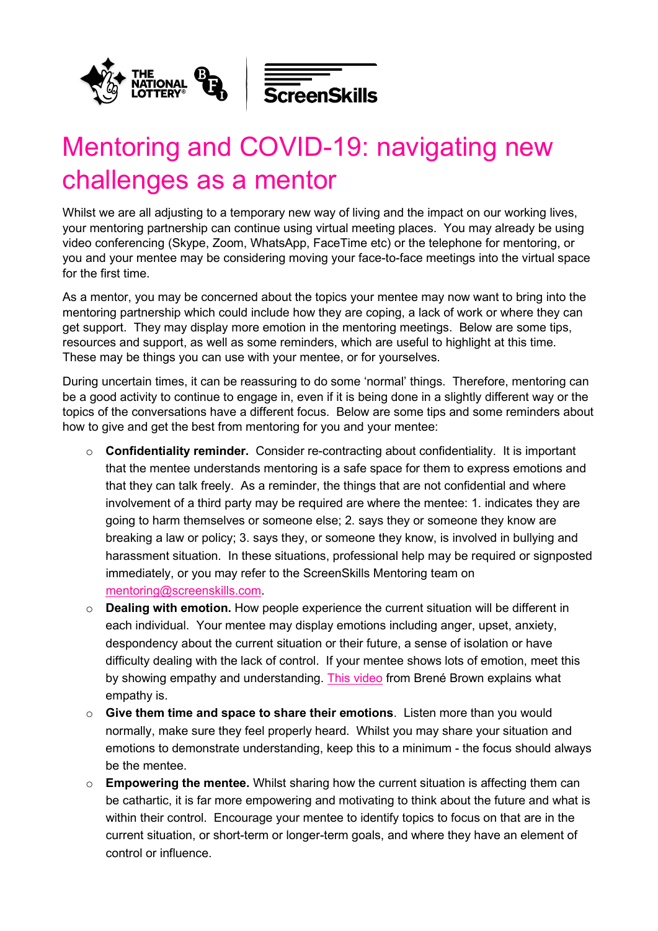



## Mentoring and COVID-19: navigating new challenges as a mentor

Whilst we are all adjusting to a temporary new way of living and the impact on our working lives, your mentoring partnership can continue using virtual meeting places. You may already be using video conferencing (Skype, Zoom, WhatsApp, FaceTime etc) or the telephone for mentoring, or you and your mentee may be considering moving your face-to-face meetings into the virtual space for the first time.

As a mentor, you may be concerned about the topics your mentee may now want to bring into the mentoring partnership which could include how they are coping, a lack of work or where they can get support. They may display more emotion in the mentoring meetings. Below are some tips, resources and support, as well as some reminders, which are useful to highlight at this time. These may be things you can use with your mentee, or for yourselves.

During uncertain times, it can be reassuring to do some 'normal' things. Therefore, mentoring can be a good activity to continue to engage in, even if it is being done in a slightly different way or the topics of the conversations have a different focus. Below are some tips and some reminders about how to give and get the best from mentoring for you and your mentee:

- o **Confidentiality reminder.** Consider re-contracting about confidentiality. It is important that the mentee understands mentoring is a safe space for them to express emotions and that they can talk freely. As a reminder, the things that are not confidential and where involvement of a third party may be required are where the mentee: 1. indicates they are going to harm themselves or someone else; 2. says they or someone they know are breaking a law or policy; 3. says they, or someone they know, is involved in bullying and harassment situation. In these situations, professional help may be required or signposted immediately, or you may refer to the ScreenSkills Mentoring team on [mentoring@screenskills.com.](mailto:mentoring@screenskills.com)
- o **Dealing with emotion.** How people experience the current situation will be different in each individual. Your mentee may display emotions including anger, upset, anxiety, despondency about the current situation or their future, a sense of isolation or have difficulty dealing with the lack of control. If your mentee shows lots of emotion, meet this by showing empathy and understanding. [This video](https://www.youtube.com/watch?v=1Evwgu369Jw) from Brené Brown explains what empathy is.
- o **Give them time and space to share their emotions**. Listen more than you would normally, make sure they feel properly heard. Whilst you may share your situation and emotions to demonstrate understanding, keep this to a minimum - the focus should always be the mentee.
- o **Empowering the mentee.** Whilst sharing how the current situation is affecting them can be cathartic, it is far more empowering and motivating to think about the future and what is within their control. Encourage your mentee to identify topics to focus on that are in the current situation, or short-term or longer-term goals, and where they have an element of control or influence.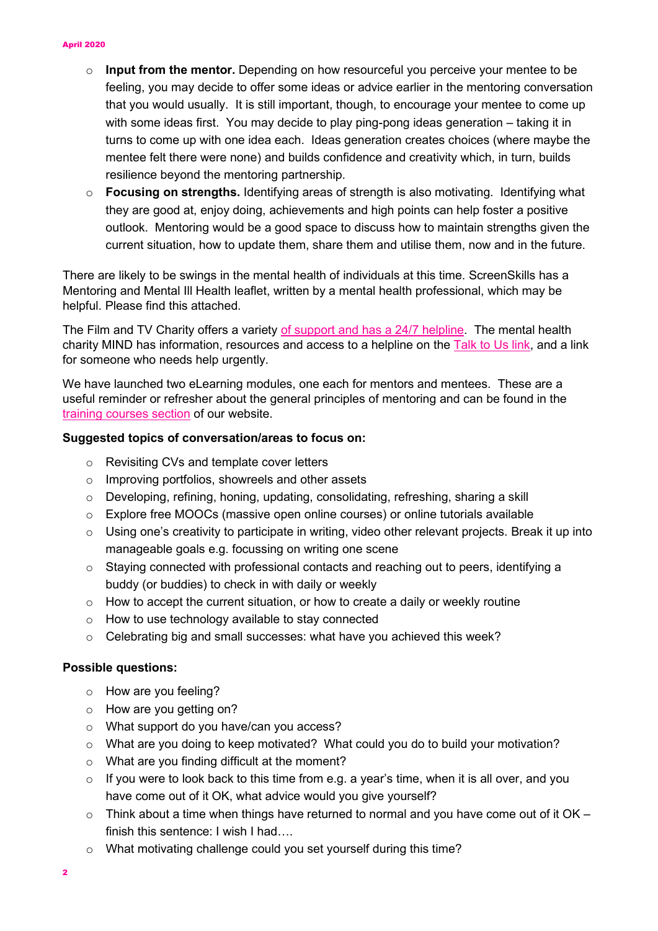- o **Input from the mentor.** Depending on how resourceful you perceive your mentee to be feeling, you may decide to offer some ideas or advice earlier in the mentoring conversation that you would usually. It is still important, though, to encourage your mentee to come up with some ideas first. You may decide to play ping-pong ideas generation – taking it in turns to come up with one idea each. Ideas generation creates choices (where maybe the mentee felt there were none) and builds confidence and creativity which, in turn, builds resilience beyond the mentoring partnership.
- o **Focusing on strengths.** Identifying areas of strength is also motivating. Identifying what they are good at, enjoy doing, achievements and high points can help foster a positive outlook. Mentoring would be a good space to discuss how to maintain strengths given the current situation, how to update them, share them and utilise them, now and in the future.

There are likely to be swings in the mental health of individuals at this time. ScreenSkills has a Mentoring and Mental Ill Health leaflet, written by a mental health professional, which may be helpful. Please find this attached.

The Film and TV Charity offers a variety [of support and has a 24/7 helpline.](https://filmtvcharity.org.uk/) The mental health charity MIND has information, resources and access to a helpline on the [Talk to Us link,](https://www.mind.org.uk/) and a link for someone who needs help urgently.

We have launched two eLearning modules, one each for mentors and mentees. These are a useful reminder or refresher about the general principles of mentoring and can be found in the [training courses section](https://www.screenskills.com/training-courses/search/#/) of our website.

## **Suggested topics of conversation/areas to focus on:**

- o Revisiting CVs and template cover letters
- o Improving portfolios, showreels and other assets
- $\circ$  Developing, refining, honing, updating, consolidating, refreshing, sharing a skill
- o Explore free MOOCs (massive open online courses) or online tutorials available
- $\circ$  Using one's creativity to participate in writing, video other relevant projects. Break it up into manageable goals e.g. focussing on writing one scene
- $\circ$  Staying connected with professional contacts and reaching out to peers, identifying a buddy (or buddies) to check in with daily or weekly
- $\circ$  How to accept the current situation, or how to create a daily or weekly routine
- o How to use technology available to stay connected
- $\circ$  Celebrating big and small successes: what have you achieved this week?

## **Possible questions:**

- o How are you feeling?
- o How are you getting on?
- o What support do you have/can you access?
- o What are you doing to keep motivated? What could you do to build your motivation?
- o What are you finding difficult at the moment?
- o If you were to look back to this time from e.g. a year's time, when it is all over, and you have come out of it OK, what advice would you give yourself?
- $\circ$  Think about a time when things have returned to normal and you have come out of it OK finish this sentence: I wish I had….
- o What motivating challenge could you set yourself during this time?